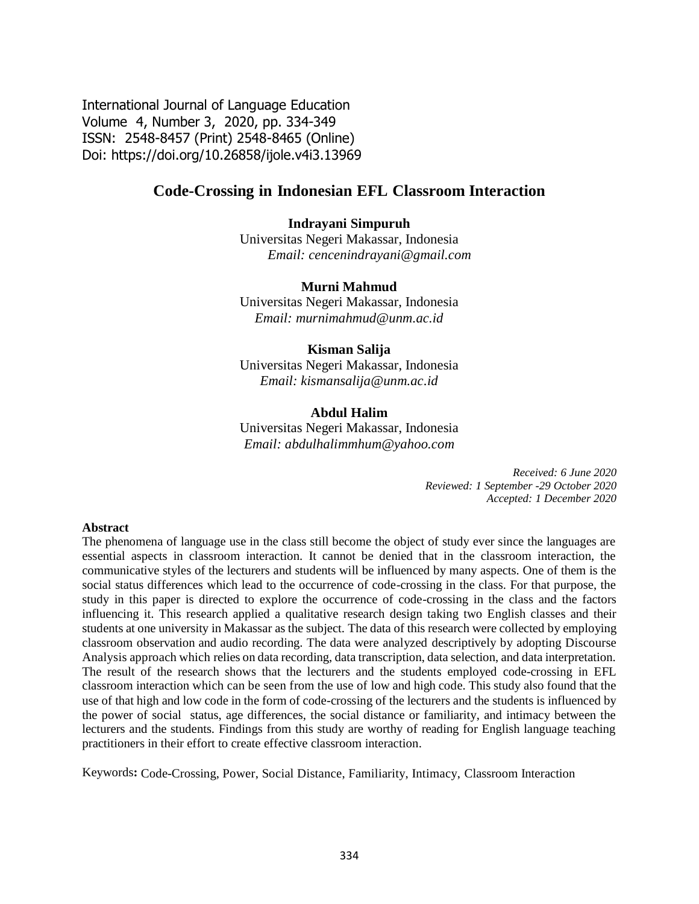International Journal of Language Education Volume 4, Number 3, 2020, pp. 334-349 ISSN: 2548-8457 (Print) 2548-8465 (Online) Doi: <https://doi.org/10.26858/ijole.v4i3.13969>

# **Code-Crossing in Indonesian EFL Classroom Interaction**

### **Indrayani Simpuruh**

Universitas Negeri Makassar, Indonesia *Email: [cencenindrayani@gmail.com](mailto:cencenindrayani@gmail.com)*

#### **Murni Mahmud**

Universitas Negeri Makassar, Indonesia *Email: [murnimahmud@unm.ac.id](mailto:murnimahmud@unm.ac.id)*

#### **Kisman Salija**

Universitas Negeri Makassar, Indonesia *Email: [kismansalija@unm.ac.id](mailto:kismansalija@unm.ac.id)*

#### **Abdul Halim**

Universitas Negeri Makassar, Indonesia *Email: [abdulhalimmhum@yahoo.com](mailto:abdulhalimmhum@yahoo.com)*

> *Received: 6 June 2020 Reviewed: 1 September -29 October 2020 Accepted: 1 December 2020*

#### **Abstract**

The phenomena of language use in the class still become the object of study ever since the languages are essential aspects in classroom interaction. It cannot be denied that in the classroom interaction, the communicative styles of the lecturers and students will be influenced by many aspects. One of them is the social status differences which lead to the occurrence of code-crossing in the class. For that purpose, the study in this paper is directed to explore the occurrence of code-crossing in the class and the factors influencing it. This research applied a qualitative research design taking two English classes and their students at one university in Makassar as the subject. The data of this research were collected by employing classroom observation and audio recording. The data were analyzed descriptively by adopting Discourse Analysis approach which relies on data recording, data transcription, data selection, and data interpretation. The result of the research shows that the lecturers and the students employed code-crossing in EFL classroom interaction which can be seen from the use of low and high code. This study also found that the use of that high and low code in the form of code-crossing of the lecturers and the students is influenced by the power of social status, age differences, the social distance or familiarity, and intimacy between the lecturers and the students. Findings from this study are worthy of reading for English language teaching practitioners in their effort to create effective classroom interaction.

Keywords**:** Code-Crossing, Power, Social Distance, Familiarity, Intimacy, Classroom Interaction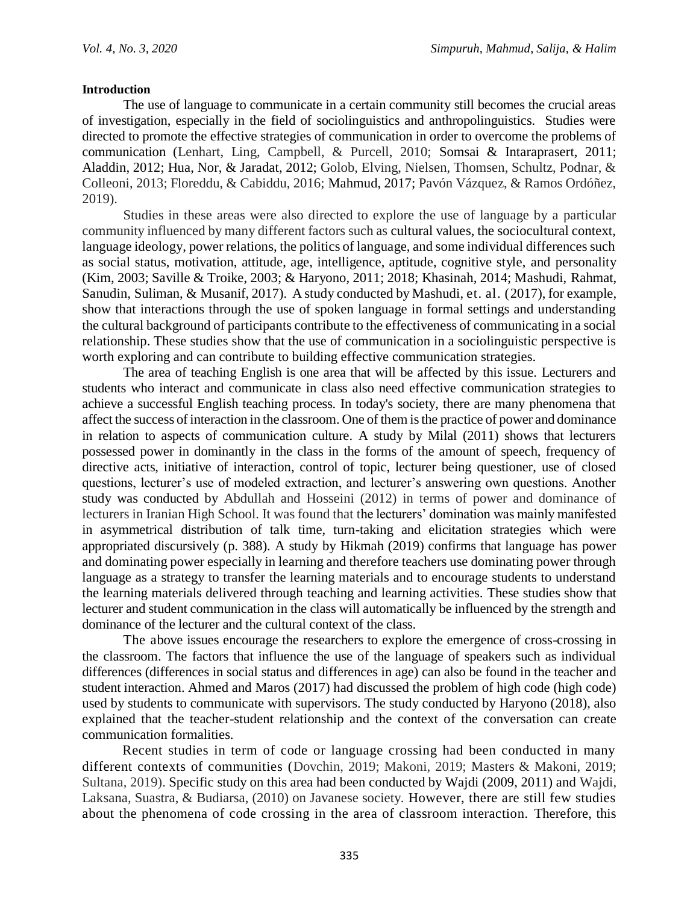### **Introduction**

The use of language to communicate in a certain community still becomes the crucial areas of investigation, especially in the field of sociolinguistics and anthropolinguistics. Studies were directed to promote the effective strategies of communication in order to overcome the problems of communication (Lenhart, Ling, Campbell, & Purcell, 2010; Somsai & Intaraprasert, 2011; Aladdin, 2012; Hua, Nor, & Jaradat, 2012; Golob, Elving, Nielsen, Thomsen, Schultz, Podnar, & Colleoni, 2013; Floreddu, & Cabiddu, 2016; Mahmud, 2017; Pavón Vázquez, & Ramos Ordóñez, 2019).

Studies in these areas were also directed to explore the use of language by a particular community influenced by many different factors such as cultural values, the sociocultural context, language ideology, power relations, the politics of language, and some individual differences such as social status, motivation, attitude, age, intelligence, aptitude, cognitive style, and personality (Kim, 2003; Saville & Troike, 2003; & Haryono, 2011; 2018; Khasinah, 2014; Mashudi, Rahmat, Sanudin, Suliman, & Musanif, 2017). A study conducted by Mashudi, et. al. (2017), for example, show that interactions through the use of spoken language in formal settings and understanding the cultural background of participants contribute to the effectiveness of communicating in a social relationship. These studies show that the use of communication in a sociolinguistic perspective is worth exploring and can contribute to building effective communication strategies.

The area of teaching English is one area that will be affected by this issue. Lecturers and students who interact and communicate in class also need effective communication strategies to achieve a successful English teaching process. In today's society, there are many phenomena that affect the success of interaction in the classroom. One of them is the practice of power and dominance in relation to aspects of communication culture. A study by Milal (2011) shows that lecturers possessed power in dominantly in the class in the forms of the amount of speech, frequency of directive acts, initiative of interaction, control of topic, lecturer being questioner, use of closed questions, lecturer's use of modeled extraction, and lecturer's answering own questions. Another study was conducted by Abdullah and Hosseini (2012) in terms of power and dominance of lecturers in Iranian High School. It was found that the lecturers' domination was mainly manifested in asymmetrical distribution of talk time, turn-taking and elicitation strategies which were appropriated discursively (p. 388). A study by Hikmah (2019) confirms that language has power and dominating power especially in learning and therefore teachers use dominating power through language as a strategy to transfer the learning materials and to encourage students to understand the learning materials delivered through teaching and learning activities. These studies show that lecturer and student communication in the class will automatically be influenced by the strength and dominance of the lecturer and the cultural context of the class.

The above issues encourage the researchers to explore the emergence of cross-crossing in the classroom. The factors that influence the use of the language of speakers such as individual differences (differences in social status and differences in age) can also be found in the teacher and student interaction. Ahmed and Maros (2017) had discussed the problem of high code (high code) used by students to communicate with supervisors. The study conducted by Haryono (2018), also explained that the teacher-student relationship and the context of the conversation can create communication formalities.

Recent studies in term of code or language crossing had been conducted in many different contexts of communities (Dovchin, 2019; Makoni, 2019; Masters & Makoni, 2019; Sultana, 2019). Specific study on this area had been conducted by Wajdi (2009, 2011) and Wajdi, Laksana, Suastra, & Budiarsa, (2010) on Javanese society. However, there are still few studies about the phenomena of code crossing in the area of classroom interaction. Therefore, this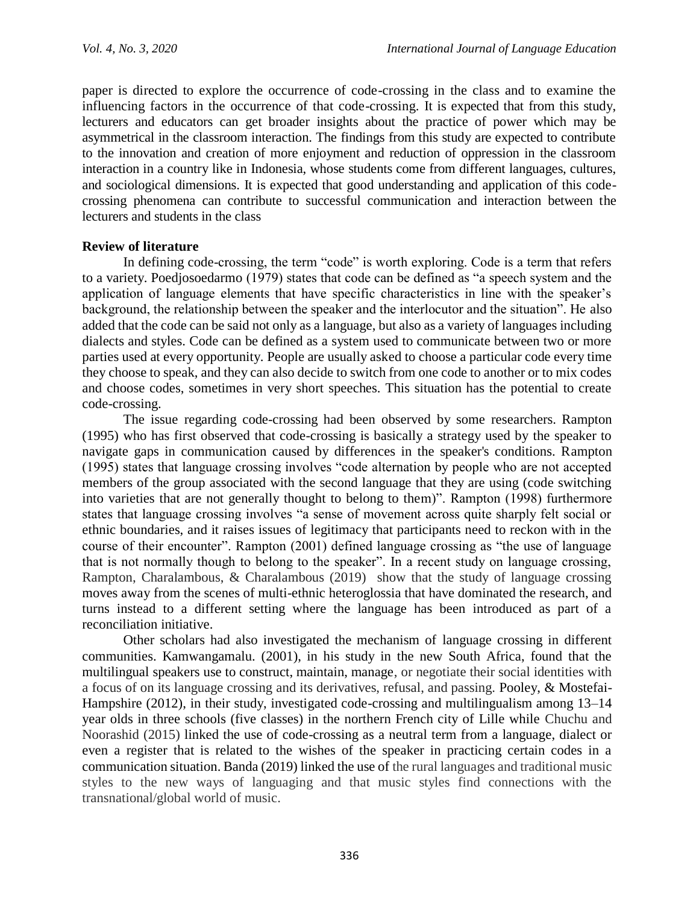paper is directed to explore the occurrence of code-crossing in the class and to examine the influencing factors in the occurrence of that code-crossing. It is expected that from this study, lecturers and educators can get broader insights about the practice of power which may be asymmetrical in the classroom interaction. The findings from this study are expected to contribute to the innovation and creation of more enjoyment and reduction of oppression in the classroom interaction in a country like in Indonesia, whose students come from different languages, cultures, and sociological dimensions. It is expected that good understanding and application of this codecrossing phenomena can contribute to successful communication and interaction between the lecturers and students in the class

## **Review of literature**

In defining code-crossing, the term "code" is worth exploring. Code is a term that refers to a variety. Poedjosoedarmo (1979) states that code can be defined as "a speech system and the application of language elements that have specific characteristics in line with the speaker's background, the relationship between the speaker and the interlocutor and the situation". He also added that the code can be said not only as a language, but also as a variety of languages including dialects and styles. Code can be defined as a system used to communicate between two or more parties used at every opportunity. People are usually asked to choose a particular code every time they choose to speak, and they can also decide to switch from one code to another or to mix codes and choose codes, sometimes in very short speeches. This situation has the potential to create code-crossing.

The issue regarding code-crossing had been observed by some researchers. Rampton (1995) who has first observed that code-crossing is basically a strategy used by the speaker to navigate gaps in communication caused by differences in the speaker's conditions. Rampton (1995) states that language crossing involves "code alternation by people who are not accepted members of the group associated with the second language that they are using (code switching into varieties that are not generally thought to belong to them)". Rampton (1998) furthermore states that language crossing involves "a sense of movement across quite sharply felt social or ethnic boundaries, and it raises issues of legitimacy that participants need to reckon with in the course of their encounter". Rampton (2001) defined language crossing as "the use of language that is not normally though to belong to the speaker". In a recent study on language crossing, Rampton, Charalambous, & Charalambous (2019) show that the study of language crossing moves away from the scenes of multi-ethnic heteroglossia that have dominated the research, and turns instead to a different setting where the language has been introduced as part of a reconciliation initiative.

Other scholars had also investigated the mechanism of language crossing in different communities. Kamwangamalu. (2001), in his study in the new South Africa, found that the multilingual speakers use to construct, maintain, manage, or negotiate their social identities with a focus of on its language crossing and its derivatives, refusal, and passing. Pooley, & Mostefai-Hampshire (2012), in their study, investigated code-crossing and multilingualism among 13–14 year olds in three schools (five classes) in the northern French city of Lille while Chuchu and Noorashid (2015) linked the use of code-crossing as a neutral term from a language, dialect or even a register that is related to the wishes of the speaker in practicing certain codes in a communication situation. Banda (2019) linked the use of the rural languages and traditional music styles to the new ways of languaging and that music styles find connections with the transnational/global world of music.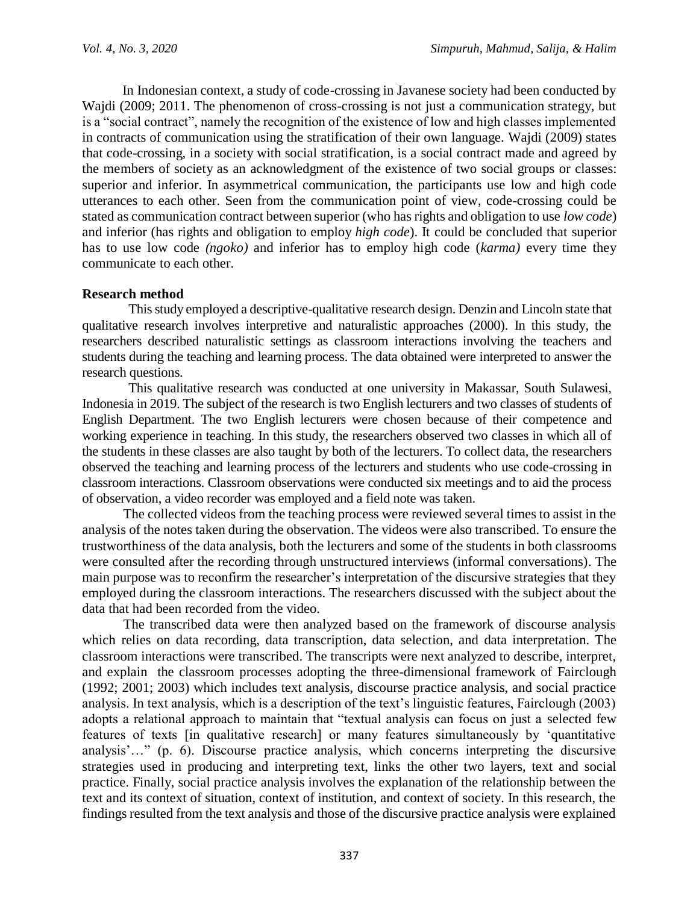In Indonesian context, a study of code-crossing in Javanese society had been conducted by Wajdi (2009; 2011. The phenomenon of cross-crossing is not just a communication strategy, but is a "social contract", namely the recognition of the existence of low and high classes implemented in contracts of communication using the stratification of their own language. Wajdi (2009) states that code-crossing, in a society with social stratification, is a social contract made and agreed by the members of society as an acknowledgment of the existence of two social groups or classes: superior and inferior. In asymmetrical communication, the participants use low and high code utterances to each other. Seen from the communication point of view, code-crossing could be stated as communication contract between superior (who has rights and obligation to use *low code*) and inferior (has rights and obligation to employ *high code*). It could be concluded that superior has to use low code *(ngoko)* and inferior has to employ high code (*karma)* every time they communicate to each other.

# **Research method**

This study employed a descriptive-qualitative research design. Denzin and Lincoln state that qualitative research involves interpretive and naturalistic approaches (2000). In this study, the researchers described naturalistic settings as classroom interactions involving the teachers and students during the teaching and learning process. The data obtained were interpreted to answer the research questions.

This qualitative research was conducted at one university in Makassar, South Sulawesi, Indonesia in 2019. The subject of the research is two English lecturers and two classes of students of English Department. The two English lecturers were chosen because of their competence and working experience in teaching. In this study, the researchers observed two classes in which all of the students in these classes are also taught by both of the lecturers. To collect data, the researchers observed the teaching and learning process of the lecturers and students who use code-crossing in classroom interactions. Classroom observations were conducted six meetings and to aid the process of observation, a video recorder was employed and a field note was taken.

The collected videos from the teaching process were reviewed several times to assist in the analysis of the notes taken during the observation. The videos were also transcribed. To ensure the trustworthiness of the data analysis, both the lecturers and some of the students in both classrooms were consulted after the recording through unstructured interviews (informal conversations). The main purpose was to reconfirm the researcher's interpretation of the discursive strategies that they employed during the classroom interactions. The researchers discussed with the subject about the data that had been recorded from the video.

The transcribed data were then analyzed based on the framework of discourse analysis which relies on data recording, data transcription, data selection, and data interpretation. The classroom interactions were transcribed. The transcripts were next analyzed to describe, interpret, and explain the classroom processes adopting the three-dimensional framework of Fairclough (1992; 2001; 2003) which includes text analysis, discourse practice analysis, and social practice analysis. In text analysis, which is a description of the text's linguistic features, Fairclough (2003) adopts a relational approach to maintain that "textual analysis can focus on just a selected few features of texts [in qualitative research] or many features simultaneously by 'quantitative analysis'…" (p. 6). Discourse practice analysis, which concerns interpreting the discursive strategies used in producing and interpreting text, links the other two layers, text and social practice. Finally, social practice analysis involves the explanation of the relationship between the text and its context of situation, context of institution, and context of society. In this research, the findings resulted from the text analysis and those of the discursive practice analysis were explained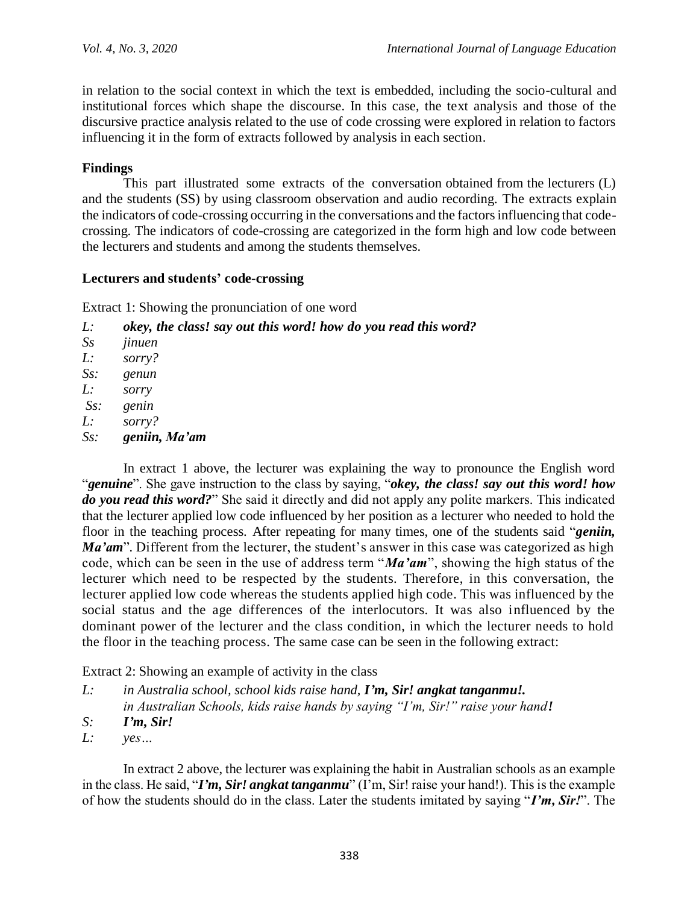in relation to the social context in which the text is embedded, including the socio-cultural and institutional forces which shape the discourse. In this case, the text analysis and those of the discursive practice analysis related to the use of code crossing were explored in relation to factors influencing it in the form of extracts followed by analysis in each section.

# **Findings**

This part illustrated some extracts of the conversation obtained from the lecturers (L) and the students (SS) by using classroom observation and audio recording. The extracts explain the indicators of code-crossing occurring in the conversations and the factors influencing that codecrossing. The indicators of code-crossing are categorized in the form high and low code between the lecturers and students and among the students themselves.

## **Lecturers and students' code-crossing**

Extract 1: Showing the pronunciation of one word

| L:        | okey, the class! say out this word! how do you read this word? |
|-----------|----------------------------------------------------------------|
| $S_{S}$   | jinuen                                                         |
| L:        | sorry?                                                         |
| $S_{S}$ : | genun                                                          |
| L:        | sorry                                                          |
| $Ss$ :    | genin                                                          |
| L:        | sorry?                                                         |
| $S_{S}$ : | geniin, Ma'am                                                  |
|           |                                                                |

In extract 1 above, the lecturer was explaining the way to pronounce the English word "*genuine*". She gave instruction to the class by saying, "*okey, the class! say out this word! how do you read this word?*" She said it directly and did not apply any polite markers. This indicated that the lecturer applied low code influenced by her position as a lecturer who needed to hold the floor in the teaching process. After repeating for many times, one of the students said "*geniin, Ma'am*"*.* Different from the lecturer, the student's answer in this case was categorized as high code, which can be seen in the use of address term "*Ma'am*", showing the high status of the lecturer which need to be respected by the students. Therefore, in this conversation, the lecturer applied low code whereas the students applied high code. This was influenced by the social status and the age differences of the interlocutors. It was also influenced by the dominant power of the lecturer and the class condition, in which the lecturer needs to hold the floor in the teaching process. The same case can be seen in the following extract:

Extract 2: Showing an example of activity in the class

- *L: in Australia school, school kids raise hand, I'm, Sir! angkat tanganmu!. in Australian Schools, kids raise hands by saying "I'm, Sir!" raise your hand!*
- *S: I'm, Sir!*
- *L: yes…*

In extract 2 above, the lecturer was explaining the habit in Australian schools as an example in the class. He said, "*I'm, Sir! angkat tanganmu*" (I'm, Sir! raise your hand!). This is the example of how the students should do in the class. Later the students imitated by saying "*I'm, Sir!*". The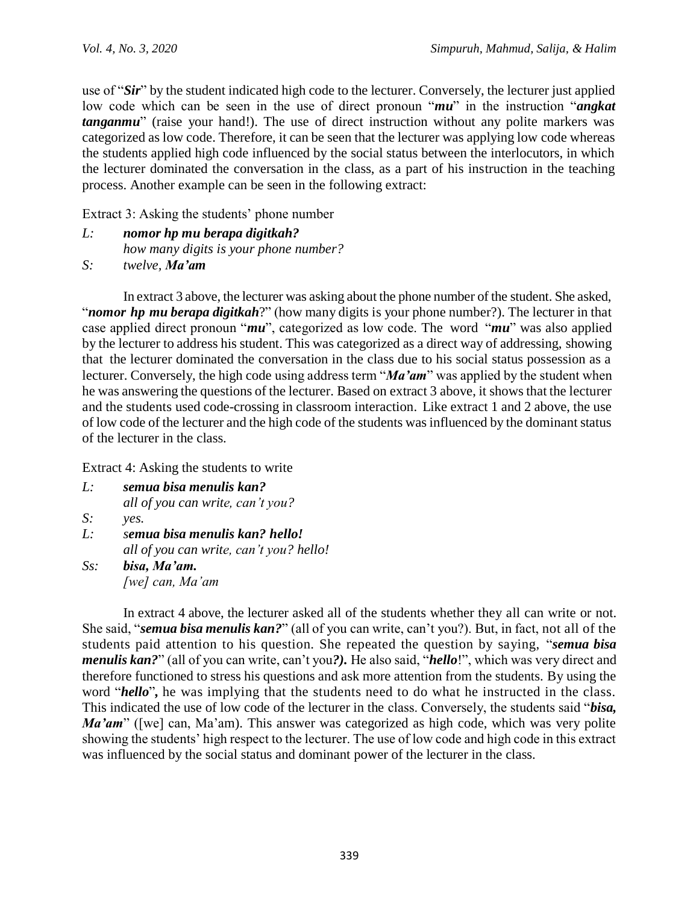use of "*Sir*" by the student indicated high code to the lecturer. Conversely, the lecturer just applied low code which can be seen in the use of direct pronoun "*mu*" in the instruction "*angkat tanganmu*" (raise your hand!). The use of direct instruction without any polite markers was categorized as low code. Therefore, it can be seen that the lecturer was applying low code whereas the students applied high code influenced by the social status between the interlocutors, in which the lecturer dominated the conversation in the class, as a part of his instruction in the teaching process. Another example can be seen in the following extract:

Extract 3: Asking the students' phone number

- *L: nomor hp mu berapa digitkah? how many digits is your phone number?*
- *S: twelve, Ma'am*

In extract 3 above, the lecturer was asking about the phone number of the student. She asked, "*nomor hp mu berapa digitkah*?" (how many digits is your phone number?). The lecturer in that case applied direct pronoun "*mu*", categorized as low code. The word "*mu*" was also applied by the lecturer to address his student. This was categorized as a direct way of addressing, showing that the lecturer dominated the conversation in the class due to his social status possession as a lecturer. Conversely, the high code using address term "*Ma'am*" was applied by the student when he was answering the questions of the lecturer. Based on extract 3 above, it shows that the lecturer and the students used code-crossing in classroom interaction. Like extract 1 and 2 above, the use of low code of the lecturer and the high code of the students was influenced by the dominant status of the lecturer in the class.

Extract 4: Asking the students to write

*L: semua bisa menulis kan? all of you can write, can't you? S: yes. L: semua bisa menulis kan? hello! all of you can write, can't you? hello! Ss: bisa, Ma'am.*

*[we] can, Ma'am*

In extract 4 above, the lecturer asked all of the students whether they all can write or not. She said, "*semua bisa menulis kan?*" (all of you can write, can't you?). But, in fact, not all of the students paid attention to his question. She repeated the question by saying, "*semua bisa menulis kan?*" (all of you can write, can't you*?).* He also said, "*hello*!", which was very direct and therefore functioned to stress his questions and ask more attention from the students. By using the word "*hello*"*,* he was implying that the students need to do what he instructed in the class. This indicated the use of low code of the lecturer in the class. Conversely, the students said "*bisa, Ma'am*" ([we] can, Ma'am). This answer was categorized as high code, which was very polite showing the students' high respect to the lecturer. The use of low code and high code in this extract was influenced by the social status and dominant power of the lecturer in the class.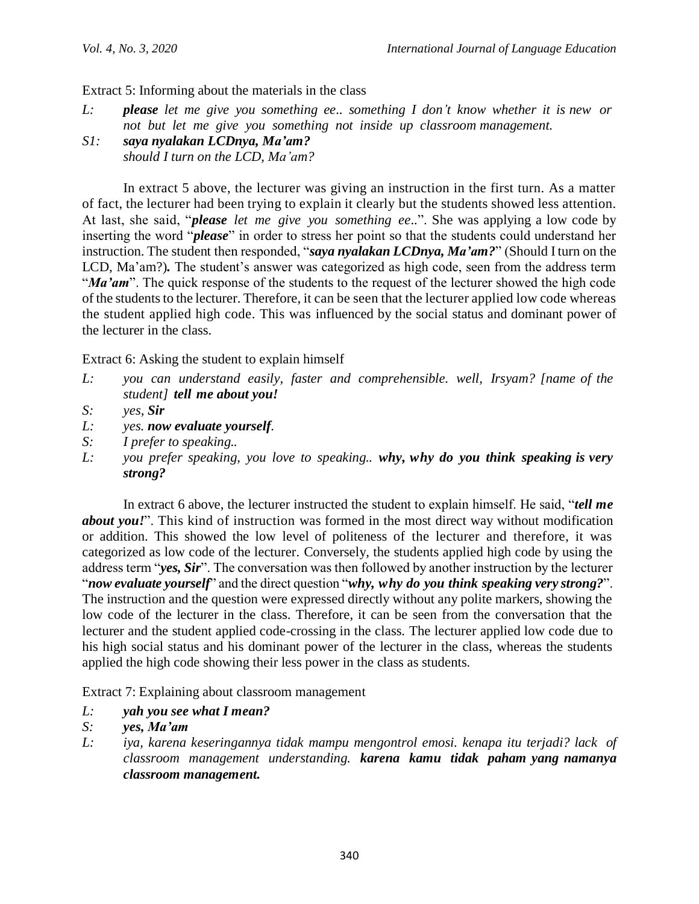Extract 5: Informing about the materials in the class

- *L: please let me give you something ee.. something I don't know whether it is new or not but let me give you something not inside up classroom management.*
- *S1: saya nyalakan LCDnya, Ma'am? should I turn on the LCD, Ma'am?*

In extract 5 above, the lecturer was giving an instruction in the first turn. As a matter of fact, the lecturer had been trying to explain it clearly but the students showed less attention. At last, she said, "*please let me give you something ee..*". She was applying a low code by inserting the word "*please*" in order to stress her point so that the students could understand her instruction. The student then responded, "*saya nyalakan LCDnya, Ma'am?*" (Should I turn on the LCD, Ma'am?)*.* The student's answer was categorized as high code, seen from the address term "*Ma'am*". The quick response of the students to the request of the lecturer showed the high code of the students to the lecturer. Therefore, it can be seen that the lecturer applied low code whereas the student applied high code. This was influenced by the social status and dominant power of the lecturer in the class.

Extract 6: Asking the student to explain himself

- *L: you can understand easily, faster and comprehensible. well, Irsyam? [name of the student] tell me about you!*
- *S: yes, Sir*
- *L: yes. now evaluate yourself.*
- *S: I prefer to speaking..*
- *L: you prefer speaking, you love to speaking.. why, why do you think speaking is very strong?*

In extract 6 above, the lecturer instructed the student to explain himself. He said, "*tell me about you!*". This kind of instruction was formed in the most direct way without modification or addition. This showed the low level of politeness of the lecturer and therefore, it was categorized as low code of the lecturer. Conversely, the students applied high code by using the address term "*yes, Sir*". The conversation was then followed by another instruction by the lecturer "*now evaluate yourself*" and the direct question "*why, why do you think speaking very strong?*". The instruction and the question were expressed directly without any polite markers, showing the low code of the lecturer in the class. Therefore, it can be seen from the conversation that the lecturer and the student applied code-crossing in the class. The lecturer applied low code due to his high social status and his dominant power of the lecturer in the class, whereas the students applied the high code showing their less power in the class as students.

Extract 7: Explaining about classroom management

- *L: yah you see what I mean?*
- *S: yes, Ma'am*
- *L: iya, karena keseringannya tidak mampu mengontrol emosi. kenapa itu terjadi? lack of classroom management understanding. karena kamu tidak paham yang namanya classroom management.*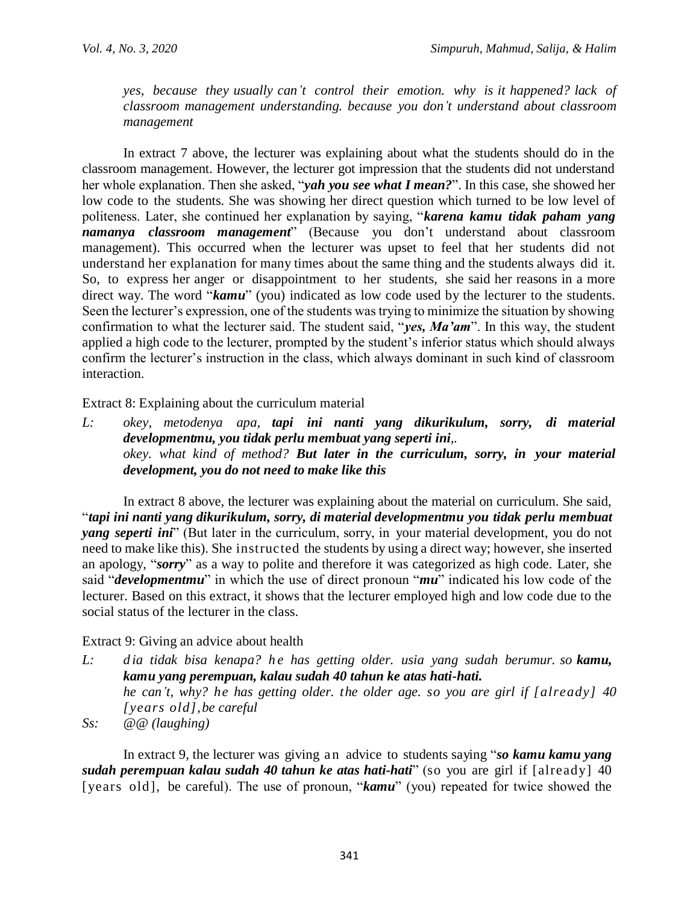*yes, because they usually can't control their emotion. why is it happened? lack of classroom management understanding. because you don't understand about classroom management*

In extract 7 above, the lecturer was explaining about what the students should do in the classroom management. However, the lecturer got impression that the students did not understand her whole explanation. Then she asked, "*yah you see what I mean?*". In this case, she showed her low code to the students. She was showing her direct question which turned to be low level of politeness. Later, she continued her explanation by saying, "*karena kamu tidak paham yang namanya classroom management*" (Because you don't understand about classroom management). This occurred when the lecturer was upset to feel that her students did not understand her explanation for many times about the same thing and the students always did it. So, to express her anger or disappointment to her students, she said her reasons in a more direct way. The word "*kamu*" (you) indicated as low code used by the lecturer to the students. Seen the lecturer's expression, one of the students was trying to minimize the situation by showing confirmation to what the lecturer said. The student said, "*yes, Ma'am*". In this way, the student applied a high code to the lecturer, prompted by the student's inferior status which should always confirm the lecturer's instruction in the class, which always dominant in such kind of classroom interaction.

Extract 8: Explaining about the curriculum material

*L: okey, metodenya apa, tapi ini nanti yang dikurikulum, sorry, di material developmentmu, you tidak perlu membuat yang seperti ini,. okey. what kind of method? But later in the curriculum, sorry, in your material development, you do not need to make like this*

In extract 8 above, the lecturer was explaining about the material on curriculum. She said, "*tapi ini nanti yang dikurikulum, sorry, di material developmentmu you tidak perlu membuat yang seperti ini*" (But later in the curriculum, sorry, in your material development, you do not need to make like this). She instructed the students by using a direct way; however, she inserted an apology, "*sorry*" as a way to polite and therefore it was categorized as high code. Later, she said "*developmentmu*" in which the use of direct pronoun "*mu*" indicated his low code of the lecturer. Based on this extract, it shows that the lecturer employed high and low code due to the social status of the lecturer in the class.

# Extract 9: Giving an advice about health

- *L: d ia tidak bisa kenapa? h e has getting older. usia yang sudah berumur. so kamu, kamu yang perempuan, kalau sudah 40 tahun ke atas hati-hati. he can't, why? he has getting older. the older age. so you are girl if [already] 40 [years old],be careful*
- *Ss: @@ (laughing)*

In extract 9, the lecturer was giving an advice to students saying "*so kamu kamu yang sudah perempuan kalau sudah 40 tahun ke atas hati-hati*" (so you are girl if [already] 40 [years old], be careful). The use of pronoun, "*kamu*" (you) repeated for twice showed the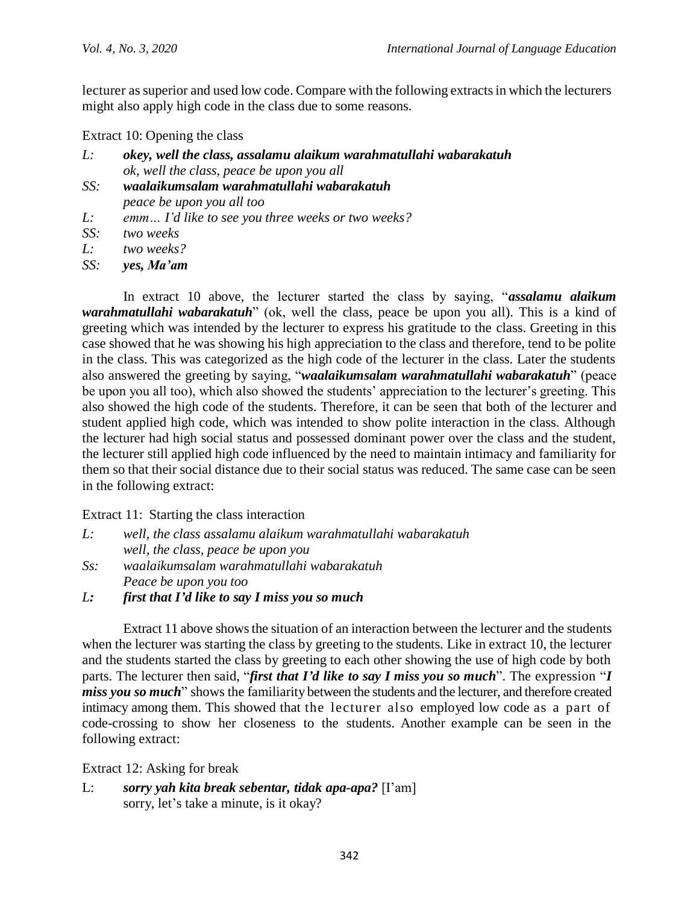lecturer as superior and used low code. Compare with the following extracts in which the lecturers might also apply high code in the class due to some reasons.

Extract 10: Opening the class

- *L: okey, well the class, assalamu alaikum warahmatullahi wabarakatuh ok, well the class, peace be upon you all*
- *SS: waalaikumsalam warahmatullahi wabarakatuh peace be upon you all too*
- *L: emm… I'd like to see you three weeks or two weeks?*
- *SS: two weeks*

*L: two weeks?* 

*SS: yes, Ma'am*

In extract 10 above, the lecturer started the class by saying, "*assalamu alaikum warahmatullahi wabarakatuh*" (ok, well the class, peace be upon you all). This is a kind of greeting which was intended by the lecturer to express his gratitude to the class. Greeting in this case showed that he was showing his high appreciation to the class and therefore, tend to be polite in the class. This was categorized as the high code of the lecturer in the class. Later the students also answered the greeting by saying, "*waalaikumsalam warahmatullahi wabarakatuh*" (peace be upon you all too), which also showed the students' appreciation to the lecturer's greeting. This also showed the high code of the students. Therefore, it can be seen that both of the lecturer and student applied high code, which was intended to show polite interaction in the class. Although the lecturer had high social status and possessed dominant power over the class and the student, the lecturer still applied high code influenced by the need to maintain intimacy and familiarity for them so that their social distance due to their social status was reduced. The same case can be seen in the following extract:

Extract 11: Starting the class interaction

| Ŀ: | well, the class assalamu alaikum warahmatullahi wabarakatuh          |
|----|----------------------------------------------------------------------|
|    | well, the class, peace be upon you                                   |
|    | $\mathcal{C}_{\alpha}$ used eitemeal am wanal matullabi wahanal stub |

- *Ss: waalaikumsalam warahmatullahi wabarakatuh Peace be upon you too*
- *L: first that I'd like to say I miss you so much*

Extract 11 above shows the situation of an interaction between the lecturer and the students when the lecturer was starting the class by greeting to the students. Like in extract 10, the lecturer and the students started the class by greeting to each other showing the use of high code by both parts. The lecturer then said, "*first that I'd like to say I miss you so much*". The expression "*I miss you so much*" shows the familiarity between the students and the lecturer, and therefore created intimacy among them. This showed that the lecturer also employed low code as a part of code-crossing to show her closeness to the students. Another example can be seen in the following extract:

Extract 12: Asking for break

L: *sorry yah kita break sebentar, tidak apa-apa?* [I'am] sorry, let's take a minute, is it okay?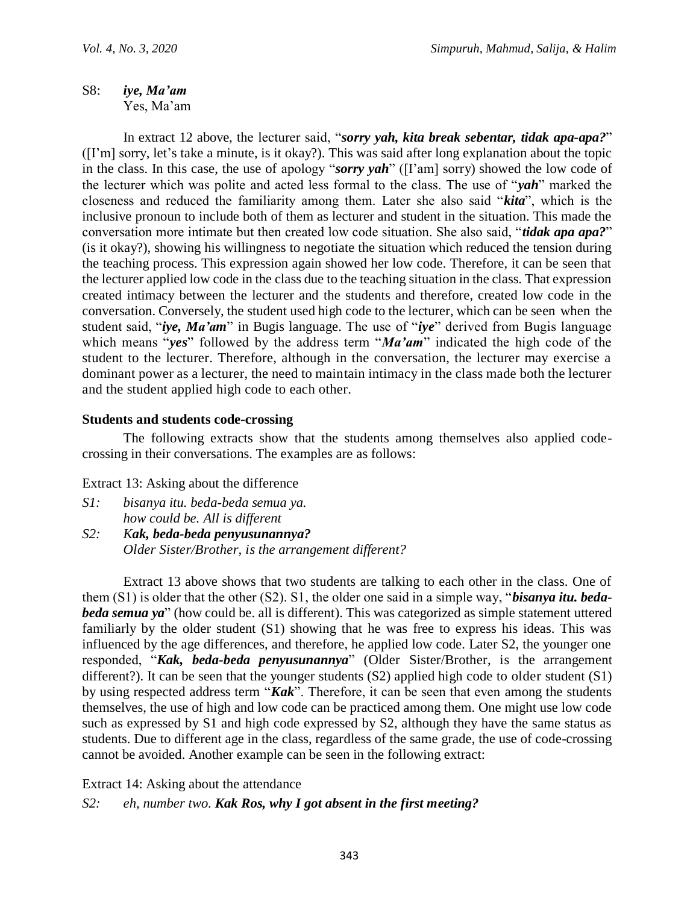S8: *iye, Ma'am* Yes, Ma'am

In extract 12 above, the lecturer said, "*sorry yah, kita break sebentar, tidak apa-apa?*" ([I'm] sorry, let's take a minute, is it okay?). This was said after long explanation about the topic in the class. In this case, the use of apology "*sorry yah*" ([I'am] sorry) showed the low code of the lecturer which was polite and acted less formal to the class. The use of "*yah*" marked the closeness and reduced the familiarity among them. Later she also said "*kita*", which is the inclusive pronoun to include both of them as lecturer and student in the situation. This made the conversation more intimate but then created low code situation. She also said, "*tidak apa apa?*" (is it okay?), showing his willingness to negotiate the situation which reduced the tension during the teaching process. This expression again showed her low code. Therefore, it can be seen that the lecturer applied low code in the class due to the teaching situation in the class. That expression created intimacy between the lecturer and the students and therefore, created low code in the conversation. Conversely, the student used high code to the lecturer, which can be seen when the student said, "*iye, Ma'am*" in Bugis language. The use of "*iye*" derived from Bugis language which means "*yes*" followed by the address term "*Ma'am*" indicated the high code of the student to the lecturer. Therefore, although in the conversation, the lecturer may exercise a dominant power as a lecturer, the need to maintain intimacy in the class made both the lecturer and the student applied high code to each other.

# **Students and students code-crossing**

The following extracts show that the students among themselves also applied codecrossing in their conversations. The examples are as follows:

Extract 13: Asking about the difference

- *S1: bisanya itu. beda-beda semua ya. how could be. All is different*
- *S2: Kak, beda-beda penyusunannya? Older Sister/Brother, is the arrangement different?*

Extract 13 above shows that two students are talking to each other in the class. One of them (S1) is older that the other (S2). S1, the older one said in a simple way, "*bisanya itu. bedabeda semua ya*" (how could be. all is different). This was categorized as simple statement uttered familiarly by the older student (S1) showing that he was free to express his ideas. This was influenced by the age differences, and therefore, he applied low code. Later S2, the younger one responded, "*Kak, beda-beda penyusunannya*" (Older Sister/Brother, is the arrangement different?). It can be seen that the younger students (S2) applied high code to older student (S1) by using respected address term "*Kak*". Therefore, it can be seen that even among the students themselves, the use of high and low code can be practiced among them. One might use low code such as expressed by S1 and high code expressed by S2, although they have the same status as students. Due to different age in the class, regardless of the same grade, the use of code-crossing cannot be avoided. Another example can be seen in the following extract:

Extract 14: Asking about the attendance

*S2: eh, number two. Kak Ros, why I got absent in the first meeting?*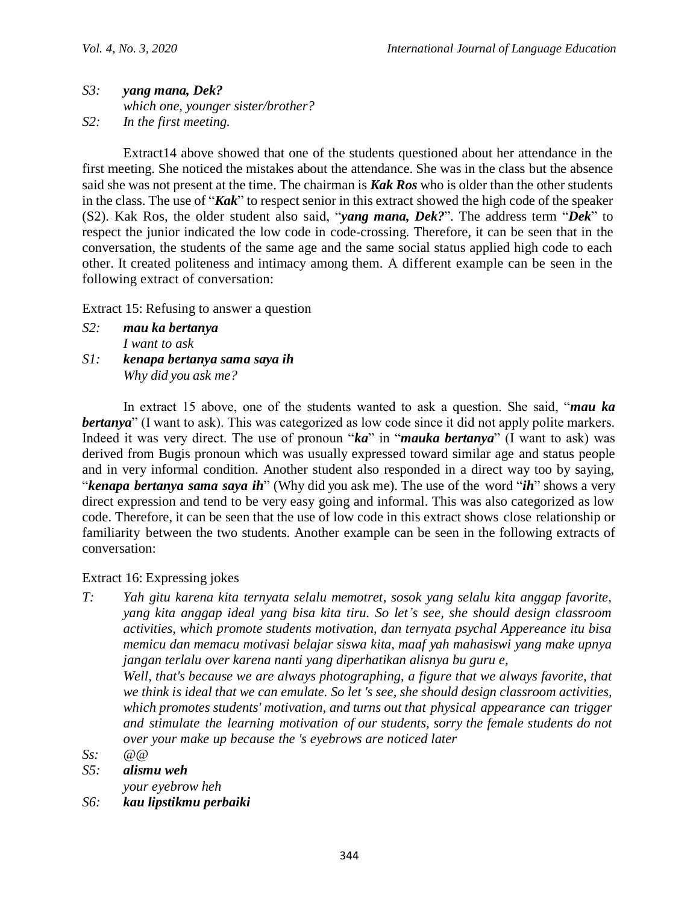### *S3: yang mana, Dek? which one, younger sister/brother? S2: In the first meeting.*

Extract14 above showed that one of the students questioned about her attendance in the first meeting. She noticed the mistakes about the attendance. She was in the class but the absence said she was not present at the time. The chairman is *Kak Ros* who is older than the other students in the class. The use of "*Kak*" to respect senior in this extract showed the high code of the speaker (S2). Kak Ros, the older student also said, "*yang mana, Dek?*". The address term "*Dek*" to respect the junior indicated the low code in code-crossing. Therefore, it can be seen that in the conversation, the students of the same age and the same social status applied high code to each other. It created politeness and intimacy among them. A different example can be seen in the following extract of conversation:

Extract 15: Refusing to answer a question

- *S2: mau ka bertanya I want to ask*
- *S1: kenapa bertanya sama saya ih Why did you ask me?*

In extract 15 above, one of the students wanted to ask a question. She said, "*mau ka bertanya*" (I want to ask). This was categorized as low code since it did not apply polite markers. Indeed it was very direct. The use of pronoun "*ka*" in "*mauka bertanya*" (I want to ask) was derived from Bugis pronoun which was usually expressed toward similar age and status people and in very informal condition. Another student also responded in a direct way too by saying, "*kenapa bertanya sama saya ih*" (Why did you ask me). The use of the word "*ih*" shows a very direct expression and tend to be very easy going and informal. This was also categorized as low code. Therefore, it can be seen that the use of low code in this extract shows close relationship or familiarity between the two students. Another example can be seen in the following extracts of conversation:

# Extract 16: Expressing jokes

- *T: Yah gitu karena kita ternyata selalu memotret, sosok yang selalu kita anggap favorite, yang kita anggap ideal yang bisa kita tiru. So let's see, she should design classroom activities, which promote students motivation, dan ternyata psychal Appereance itu bisa memicu dan memacu motivasi belajar siswa kita, maaf yah mahasiswi yang make upnya jangan terlalu over karena nanti yang diperhatikan alisnya bu guru e, Well, that's because we are always photographing, a figure that we always favorite, that we think is ideal that we can emulate. So let 's see, she should design classroom activities, which promotes students' motivation, and turns out that physical appearance can trigger and stimulate the learning motivation of our students, sorry the female students do not over your make up because the 's eyebrows are noticed later*
- *Ss: @@*
- *S5: alismu weh*
- *your eyebrow heh*
- *S6: kau lipstikmu perbaiki*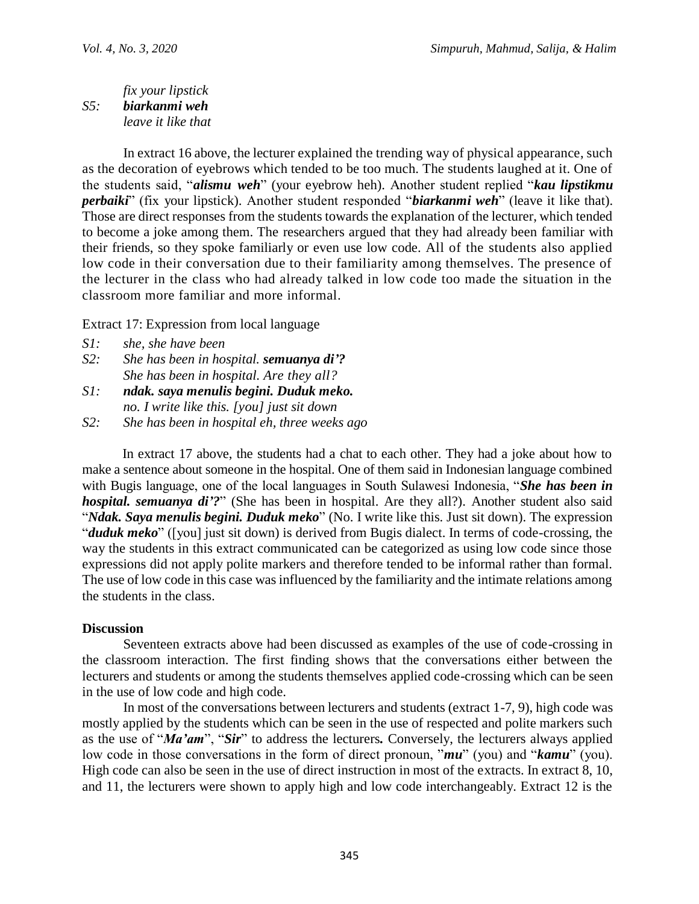### *fix your lipstick S5: biarkanmi weh leave it like that*

In extract 16 above, the lecturer explained the trending way of physical appearance, such as the decoration of eyebrows which tended to be too much. The students laughed at it. One of the students said, "*alismu weh*" (your eyebrow heh). Another student replied "*kau lipstikmu perbaiki*" (fix your lipstick). Another student responded "*biarkanmi weh*" (leave it like that). Those are direct responses from the students towards the explanation of the lecturer, which tended to become a joke among them. The researchers argued that they had already been familiar with their friends, so they spoke familiarly or even use low code. All of the students also applied low code in their conversation due to their familiarity among themselves. The presence of the lecturer in the class who had already talked in low code too made the situation in the classroom more familiar and more informal.

Extract 17: Expression from local language

- *S2: She has been in hospital. semuanya di'? She has been in hospital. Are they all?*
- *S1: ndak. saya menulis begini. Duduk meko. no. I write like this. [you] just sit down*
- *S2: She has been in hospital eh, three weeks ago*

In extract 17 above, the students had a chat to each other. They had a joke about how to make a sentence about someone in the hospital. One of them said in Indonesian language combined with Bugis language, one of the local languages in South Sulawesi Indonesia, "*She has been in hospital. semuanya di'?*" (She has been in hospital. Are they all?). Another student also said "*Ndak. Saya menulis begini. Duduk meko*" (No. I write like this. Just sit down). The expression "*duduk meko*" ([you] just sit down) is derived from Bugis dialect. In terms of code-crossing, the way the students in this extract communicated can be categorized as using low code since those expressions did not apply polite markers and therefore tended to be informal rather than formal. The use of low code in this case was influenced by the familiarity and the intimate relations among the students in the class.

## **Discussion**

Seventeen extracts above had been discussed as examples of the use of code-crossing in the classroom interaction. The first finding shows that the conversations either between the lecturers and students or among the students themselves applied code-crossing which can be seen in the use of low code and high code.

In most of the conversations between lecturers and students (extract 1-7, 9), high code was mostly applied by the students which can be seen in the use of respected and polite markers such as the use of "*Ma'am*", "*Sir*" to address the lecturers*.* Conversely, the lecturers always applied low code in those conversations in the form of direct pronoun, "*mu*" (you) and "*kamu*" (you). High code can also be seen in the use of direct instruction in most of the extracts. In extract 8, 10, and 11, the lecturers were shown to apply high and low code interchangeably. Extract 12 is the

*S1: she, she have been*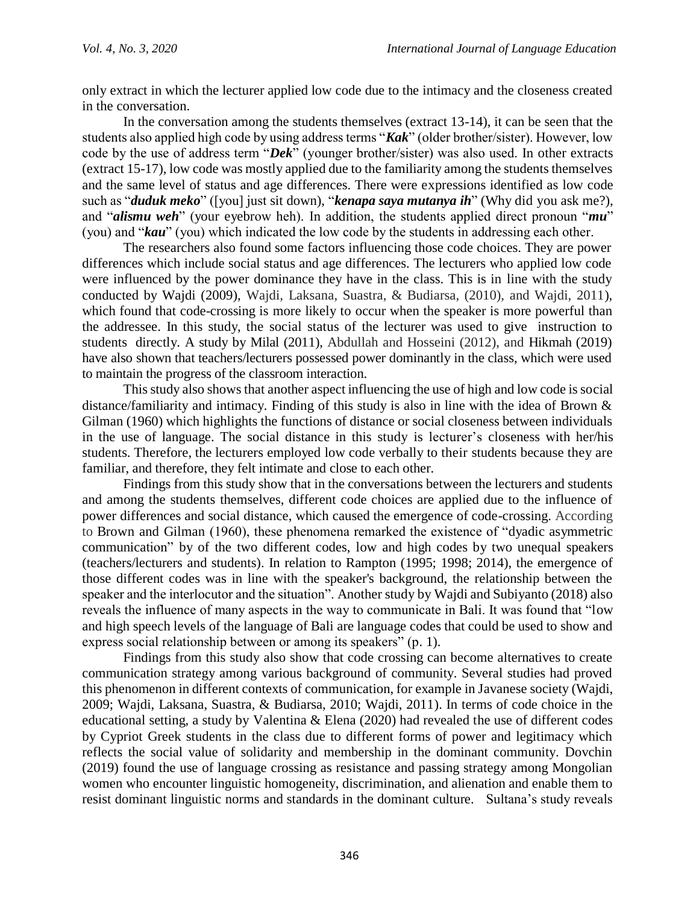only extract in which the lecturer applied low code due to the intimacy and the closeness created in the conversation.

In the conversation among the students themselves (extract 13-14), it can be seen that the students also applied high code by using address terms "*Kak*" (older brother/sister). However, low code by the use of address term "*Dek*" (younger brother/sister) was also used. In other extracts (extract 15-17), low code was mostly applied due to the familiarity among the students themselves and the same level of status and age differences. There were expressions identified as low code such as "*duduk meko*" ([you] just sit down), "*kenapa saya mutanya ih*" (Why did you ask me?), and "*alismu weh*" (your eyebrow heh). In addition, the students applied direct pronoun "*mu*" (you) and "*kau*" (you) which indicated the low code by the students in addressing each other.

The researchers also found some factors influencing those code choices. They are power differences which include social status and age differences. The lecturers who applied low code were influenced by the power dominance they have in the class. This is in line with the study conducted by Wajdi (2009), Wajdi, Laksana, Suastra, & Budiarsa, (2010), and Wajdi, 2011), which found that code-crossing is more likely to occur when the speaker is more powerful than the addressee. In this study, the social status of the lecturer was used to give instruction to students directly. A study by Milal (2011), Abdullah and Hosseini (2012), and Hikmah (2019) have also shown that teachers/lecturers possessed power dominantly in the class, which were used to maintain the progress of the classroom interaction.

This study also shows that another aspect influencing the use of high and low code is social distance/familiarity and intimacy. Finding of this study is also in line with the idea of Brown & Gilman (1960) which highlights the functions of distance or social closeness between individuals in the use of language. The social distance in this study is lecturer's closeness with her/his students. Therefore, the lecturers employed low code verbally to their students because they are familiar, and therefore, they felt intimate and close to each other.

Findings from this study show that in the conversations between the lecturers and students and among the students themselves, different code choices are applied due to the influence of power differences and social distance, which caused the emergence of code-crossing. According to Brown and Gilman (1960), these phenomena remarked the existence of "dyadic asymmetric communication" by of the two different codes, low and high codes by two unequal speakers (teachers/lecturers and students). In relation to Rampton (1995; 1998; 2014), the emergence of those different codes was in line with the speaker's background, the relationship between the speaker and the interlocutor and the situation". Another study by Wajdi and Subiyanto (2018) also reveals the influence of many aspects in the way to communicate in Bali. It was found that "low and high speech levels of the language of Bali are language codes that could be used to show and express social relationship between or among its speakers" (p. 1).

Findings from this study also show that code crossing can become alternatives to create communication strategy among various background of community. Several studies had proved this phenomenon in different contexts of communication, for example in Javanese society (Wajdi, 2009; Wajdi, Laksana, Suastra, & Budiarsa, 2010; Wajdi, 2011). In terms of code choice in the educational setting, a study by Valentina & Elena (2020) had revealed the use of different codes by Cypriot Greek students in the class due to different forms of power and legitimacy which reflects the social value of solidarity and membership in the dominant community. Dovchin (2019) found the use of language crossing as resistance and passing strategy among Mongolian women who encounter linguistic homogeneity, discrimination, and alienation and enable them to resist dominant linguistic norms and standards in the dominant culture. Sultana's study reveals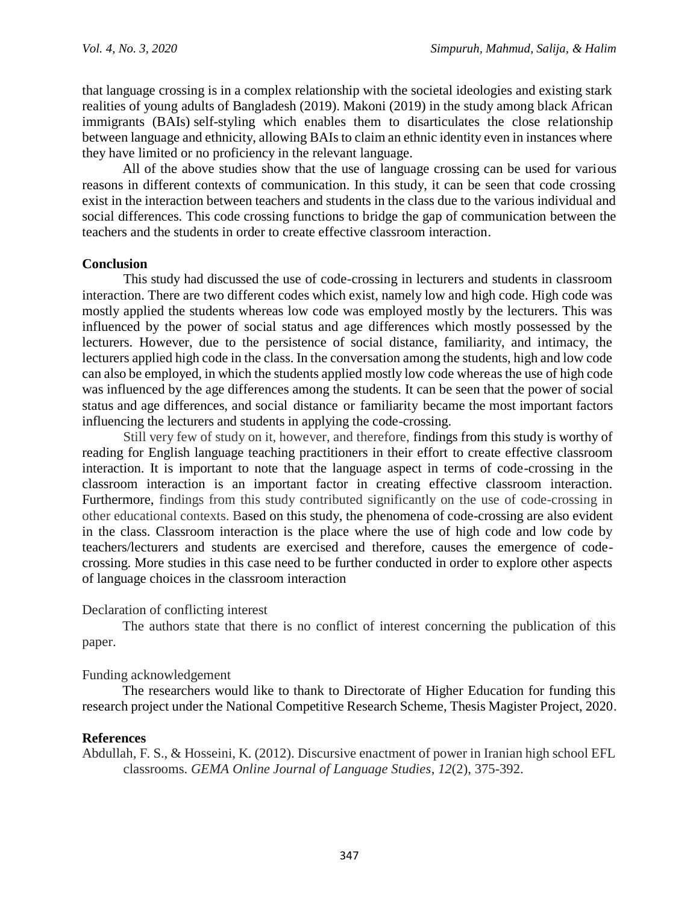that language crossing is in a complex relationship with the societal ideologies and existing stark realities of young adults of Bangladesh (2019). Makoni (2019) in the study among black African immigrants (BAIs) self-styling which enables them to disarticulates the close relationship between language and ethnicity, allowing BAIs to claim an ethnic identity even in instances where they have limited or no proficiency in the relevant language.

All of the above studies show that the use of language crossing can be used for various reasons in different contexts of communication. In this study, it can be seen that code crossing exist in the interaction between teachers and students in the class due to the various individual and social differences. This code crossing functions to bridge the gap of communication between the teachers and the students in order to create effective classroom interaction.

## **Conclusion**

This study had discussed the use of code-crossing in lecturers and students in classroom interaction. There are two different codes which exist, namely low and high code. High code was mostly applied the students whereas low code was employed mostly by the lecturers. This was influenced by the power of social status and age differences which mostly possessed by the lecturers. However, due to the persistence of social distance, familiarity, and intimacy, the lecturers applied high code in the class. In the conversation among the students, high and low code can also be employed, in which the students applied mostly low code whereas the use of high code was influenced by the age differences among the students. It can be seen that the power of social status and age differences, and social distance or familiarity became the most important factors influencing the lecturers and students in applying the code-crossing.

Still very few of study on it, however, and therefore, findings from this study is worthy of reading for English language teaching practitioners in their effort to create effective classroom interaction. It is important to note that the language aspect in terms of code-crossing in the classroom interaction is an important factor in creating effective classroom interaction. Furthermore, findings from this study contributed significantly on the use of code-crossing in other educational contexts. Based on this study, the phenomena of code-crossing are also evident in the class. Classroom interaction is the place where the use of high code and low code by teachers/lecturers and students are exercised and therefore, causes the emergence of codecrossing. More studies in this case need to be further conducted in order to explore other aspects of language choices in the classroom interaction

### Declaration of conflicting interest

The authors state that there is no conflict of interest concerning the publication of this paper.

## Funding acknowledgement

The researchers would like to thank to Directorate of Higher Education for funding this research project under the National Competitive Research Scheme, Thesis Magister Project, 2020.

### **References**

Abdullah, F. S., & Hosseini, K. (2012). Discursive enactment of power in Iranian high school EFL classrooms. *GEMA Online Journal of Language Studies*, *12*(2), 375-392.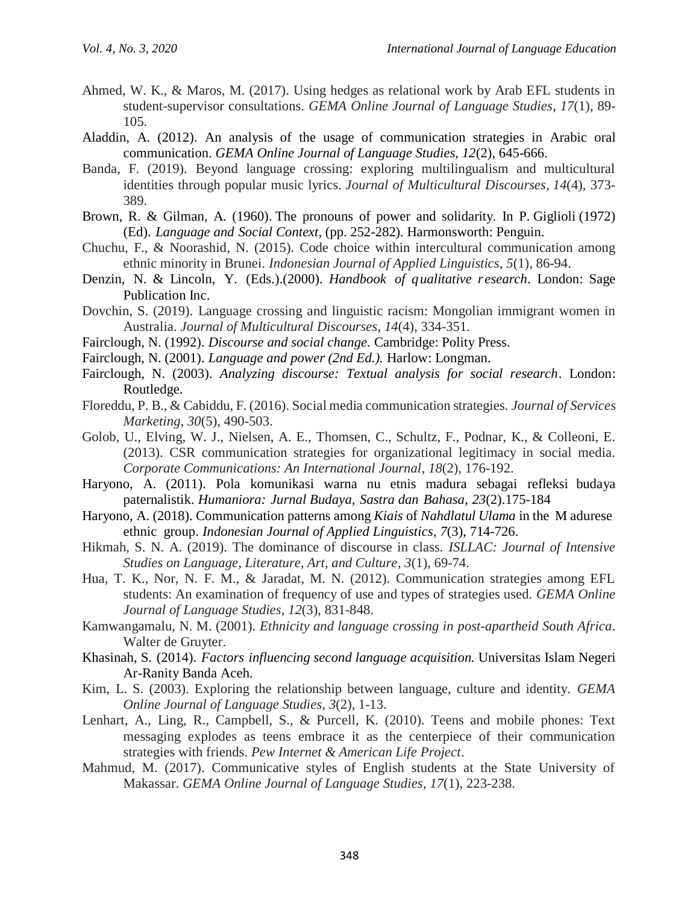- Ahmed, W. K., & Maros, M. (2017). Using hedges as relational work by Arab EFL students in student-supervisor consultations. *GEMA Online Journal of Language Studies*, *17*(1), 89- 105.
- Aladdin, A. (2012). An analysis of the usage of communication strategies in Arabic oral communication. *GEMA Online Journal of Language Studies, 12*(2), 645-666.
- Banda, F. (2019). Beyond language crossing: exploring multilingualism and multicultural identities through popular music lyrics. *Journal of Multicultural Discourses*, *14*(4), 373- 389.
- Brown, R. & Gilman, A. (1960). The pronouns of power and solidarity. In P. Giglioli (1972) (Ed). *Language and Social Context*, (pp. 252-282). Harmonsworth: Penguin.
- Chuchu, F., & Noorashid, N. (2015). Code choice within intercultural communication among ethnic minority in Brunei. *Indonesian Journal of Applied Linguistics*, *5*(1), 86-94.
- Denzin, N. & Lincoln, Y. (Eds.).(2000). *Handbook of qualitative research*. London: Sage Publication Inc.
- Dovchin, S. (2019). Language crossing and linguistic racism: Mongolian immigrant women in Australia. *Journal of Multicultural Discourses*, *14*(4), 334-351.
- Fairclough, N. (1992). *Discourse and social change.* Cambridge: Polity Press.
- Fairclough, N. (2001). *Language and power (2nd Ed.).* Harlow: Longman.
- Fairclough, N. (2003). *Analyzing discourse: Textual analysis for social research*. London: Routledge.
- Floreddu, P. B., & Cabiddu, F. (2016). Social media communication strategies. *Journal of Services Marketing*, *30*(5), 490-503.
- Golob, U., Elving, W. J., Nielsen, A. E., Thomsen, C., Schultz, F., Podnar, K., & Colleoni, E. (2013). CSR communication strategies for organizational legitimacy in social media. *Corporate Communications: An International Journal*, *18*(2), 176-192.
- Haryono, A. (2011). Pola komunikasi warna nu etnis madura sebagai refleksi budaya paternalistik. *Humaniora: Jurnal Budaya, Sastra dan Bahasa, 23*(2).175-184
- Haryono, A. (2018). Communication patterns among *Kiais* of *Nahdlatul Ulama* in the M adurese ethnic group. *Indonesian Journal of Applied Linguistics*, *7*(3), 714-726.
- Hikmah, S. N. A. (2019). The dominance of discourse in class. *ISLLAC: Journal of Intensive Studies on Language, Literature, Art, and Culture*, *3*(1), 69-74.
- Hua, T. K., Nor, N. F. M., & Jaradat, M. N. (2012). Communication strategies among EFL students: An examination of frequency of use and types of strategies used. *GEMA Online Journal of Language Studies*, *12*(3), 831-848.
- Kamwangamalu, N. M. (2001). *Ethnicity and language crossing in post-apartheid South Africa*. Walter de Gruyter.
- Khasinah, S. (2014). *Factors influencing second language acquisition.* Universitas Islam Negeri Ar-Ranity Banda Aceh.
- Kim, L. S. (2003). Exploring the relationship between language, culture and identity. *GEMA Online Journal of Language Studies*, *3*(2), 1-13.
- Lenhart, A., Ling, R., Campbell, S., & Purcell, K. (2010). Teens and mobile phones: Text messaging explodes as teens embrace it as the centerpiece of their communication strategies with friends. *Pew Internet & American Life Project*.
- Mahmud, M. (2017). Communicative styles of English students at the State University of Makassar. *GEMA Online Journal of Language Studies*, *17*(1), 223-238.